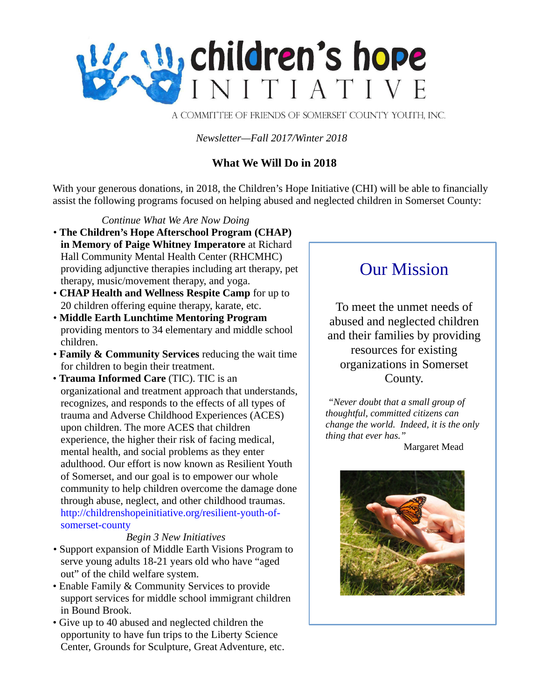

A COMMITTEE OF FRIENDS OF SOMERSET COUNTY YOUTH, INC.

*Newsletter—Fall 2017/Winter 2018*

#### **What We Will Do in 2018**

With your generous donations, in 2018, the Children's Hope Initiative (CHI) will be able to financially assist the following programs focused on helping abused and neglected children in Somerset County:

*Continue What We Are Now Doing* • **The Children's Hope Afterschool Program (CHAP) in Memory of Paige Whitney Imperatore** at Richard Hall Community Mental Health Center (RHCMHC) providing adjunctive therapies including art therapy, pet therapy, music/movement therapy, and yoga.

- **CHAP Health and Wellness Respite Camp** for up to 20 children offering equine therapy, karate, etc.
- **Middle Earth Lunchtime Mentoring Program** providing mentors to 34 elementary and middle school children.
- **Family & Community Services** reducing the wait time for children to begin their treatment.
- **Trauma Informed Care** (TIC). TIC is an organizational and treatment approach that understands, recognizes, and responds to the effects of all types of trauma and Adverse Childhood Experiences (ACES) upon children. The more ACES that children experience, the higher their risk of facing medical, mental health, and social problems as they enter adulthood. Our effort is now known as Resilient Youth of Somerset, and our goal is to empower our whole community to help children overcome the damage done through abuse, neglect, and other childhood traumas. http://childrenshopeinitiative.org/resilient-youth-ofsomerset-county

#### *Begin 3 New Initiatives*

- Support expansion of Middle Earth Visions Program to serve young adults 18-21 years old who have "aged out" of the child welfare system.
- Enable Family & Community Services to provide support services for middle school immigrant children in Bound Brook.
- Give up to 40 abused and neglected children the opportunity to have fun trips to the Liberty Science Center, Grounds for Sculpture, Great Adventure, etc.

# Our Mission

To meet the unmet needs of abused and neglected children and their families by providing resources for existing organizations in Somerset County.

*"Never doubt that a small group of thoughtful, committed citizens can change the world. Indeed, it is the only thing that ever has."*

Margaret Mead

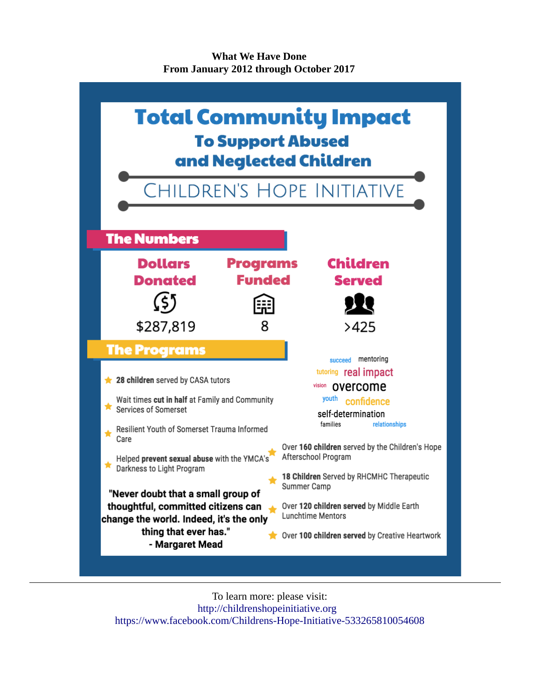**What We Have Done From January 2012 through October 2017**



To learn more: please visit: [http://childrenshopeinitiative.org](http://childrenshopeinitiative.org/)  <https://www.facebook.com/Childrens-Hope-Initiative-533265810054608>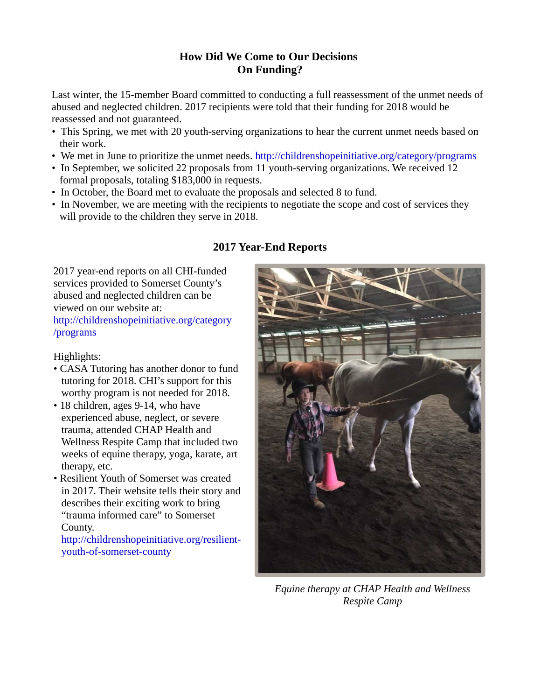## **How Did We Come to Our Decisions On Funding?**

Last winter, the 15-member Board committed to conducting a full reassessment of the unmet needs of abused and neglected children. 2017 recipients were told that their funding for 2018 would be reassessed and not guaranteed.

- This Spring, we met with 20 youth-serving organizations to hear the current unmet needs based on their work.
- We met in June to prioritize the unmet needs. http://childrenshopeinitiative.org/category/programs
- In September, we solicited 22 proposals from 11 youth-serving organizations. We received 12 formal proposals, totaling \$183,000 in requests.
- In October, the Board met to evaluate the proposals and selected 8 to fund.
- In November, we are meeting with the recipients to negotiate the scope and cost of services they will provide to the children they serve in 2018.

# **2017 Year-End Reports**

2017 year-end reports on all CHI-funded services provided to Somerset County's abused and neglected children can be viewed on our website at: <http://childrenshopeinitiative.org/category> /programs

#### Highlights:

- CASA Tutoring has another donor to fund tutoring for 2018. CHI's support for this worthy program is not needed for 2018.
- 18 children, ages 9-14, who have experienced abuse, neglect, or severe trauma, attended CHAP Health and Wellness Respite Camp that included two weeks of equine therapy, yoga, karate, art therapy, etc.
- Resilient Youth of Somerset was created in 2017. Their website tells their story and describes their exciting work to bring "trauma informed care" to Somerset County.

http://childrenshopeinitiative.org/resilientyouth-of-somerset-county



*Equine therapy at CHAP Health and Wellness Respite Camp*